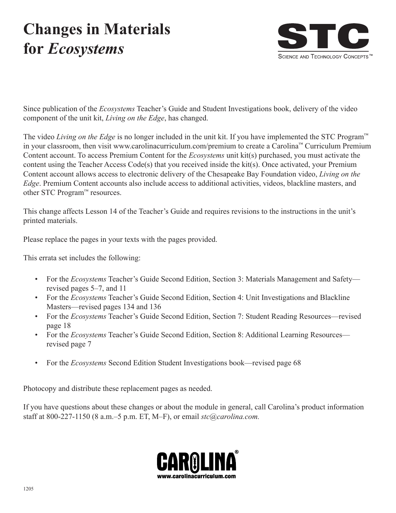# **Changes in Materials for** *Ecosystems*



Since publication of the *Ecosystems* Teacher's Guide and Student Investigations book, delivery of the video component of the unit kit, *Living on the Edge*, has changed.

The video *Living on the Edge* is no longer included in the unit kit. If you have implemented the STC Program™ in your classroom, then visit www.carolinacurriculum.com/premium to create a Carolina™ Curriculum Premium Content account. To access Premium Content for the *Ecosystems* unit kit(s) purchased, you must activate the content using the Teacher Access Code(s) that you received inside the kit(s). Once activated, your Premium Content account allows access to electronic delivery of the Chesapeake Bay Foundation video, *Living on the Edge*. Premium Content accounts also include access to additional activities, videos, blackline masters, and other STC Program™ resources.

This change affects Lesson 14 of the Teacher's Guide and requires revisions to the instructions in the unit's printed materials.

Please replace the pages in your texts with the pages provided.

This errata set includes the following:

- For the *Ecosystems* Teacher's Guide Second Edition, Section 3: Materials Management and Safety revised pages 5–7, and 11
- • For the *Ecosystems* Teacher's Guide Second Edition, Section 4: Unit Investigations and Blackline Masters—revised pages 134 and 136
- For the *Ecosystems* Teacher's Guide Second Edition, Section 7: Student Reading Resources—revised page 18
- For the *Ecosystems* Teacher's Guide Second Edition, Section 8: Additional Learning Resources revised page 7
- For the *Ecosystems* Second Edition Student Investigations book—revised page 68

Photocopy and distribute these replacement pages as needed.

If you have questions about these changes or about the module in general, call Carolina's product information staff at 800-227-1150 (8 a.m.–5 p.m. ET, M–F), or email *stc@carolina.com.*

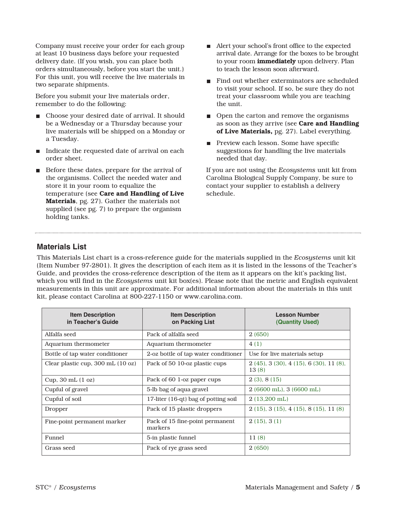Company must receive your order for each group at least 10 business days before your requested delivery date. (If you wish, you can place both orders simultaneously, before you start the unit.) For this unit, you will receive the live materials in two separate shipments.

Before you submit your live materials order, remember to do the following:

- Choose your desired date of arrival. It should be a Wednesday or a Thursday because your live materials will be shipped on a Monday or a Tuesday.
- $\blacksquare$  Indicate the requested date of arrival on each order sheet.
- Before these dates, prepare for the arrival of the organisms. Collect the needed water and store it in your room to equalize the temperature (see **Care and Handling of Live Materials**, pg. 27). Gather the materials not supplied (see pg. 7) to prepare the organism holding tanks.
- Alert your school's front office to the expected arrival date. Arrange for the boxes to be brought to your room **immediately** upon delivery. Plan to teach the lesson soon afterward.
- Find out whether exterminators are scheduled to visit your school. If so, be sure they do not treat your classroom while you are teaching the unit.
- Open the carton and remove the organisms as soon as they arrive (see **Care and Handling of Live Materials,** pg. 27). Label everything.
- Preview each lesson. Some have specific suggestions for handling the live materials needed that day.

If you are not using the *Ecosystems* unit kit from Carolina Biological Supply Company, be sure to contact your supplier to establish a delivery schedule.

#### **Materials List**

This Materials List chart is a cross-reference guide for the materials supplied in the *Ecosystems* unit kit (Item Number 97-2801). It gives the description of each item as it is listed in the lessons of the Teacher's Guide, and provides the cross-reference description of the item as it appears on the kit's packing list, which you will find in the *Ecosystems* unit kit box(es). Please note that the metric and English equivalent measurements in this unit are approximate. For additional information about the materials in this unit kit, please contact Carolina at 800-227-1150 or www.carolina.com.

| <b>Item Description</b><br>in Teacher's Guide | <b>Item Description</b><br>on Packing List | <b>Lesson Number</b><br>(Quantity Used)        |
|-----------------------------------------------|--------------------------------------------|------------------------------------------------|
| Alfalfa seed                                  | Pack of alfalfa seed                       | 2(650)                                         |
| Aquarium thermometer                          | Aquarium thermometer                       | 4(1)                                           |
| Bottle of tap water conditioner               | 2-oz bottle of tap water conditioner       | Use for live materials setup                   |
| Clear plastic cup, 300 mL (10 oz)             | Pack of 50 10-oz plastic cups              | $2(45)$ , 3(30), 4(15), 6(30), 11(8),<br>13(8) |
| Cup, $30 \text{ mL} (1 \text{ oz})$           | Pack of 60 1-oz paper cups                 | 2(3), 8(15)                                    |
| Cupful of gravel                              | 5-lb bag of aqua gravel                    | 2 (6600 mL), 3 (6600 mL)                       |
| Cupful of soil                                | 17-liter (16-qt) bag of potting soil       | $2(13,200 \text{ mL})$                         |
| Dropper                                       | Pack of 15 plastic droppers                | $2(15)$ , 3(15), 4(15), 8(15), 11(8)           |
| Fine-point permanent marker                   | Pack of 15 fine-point permanent<br>markers | 2(15), 3(1)                                    |
| Funnel                                        | 5-in plastic funnel                        | 11(8)                                          |
| Grass seed                                    | Pack of rye grass seed                     | 2(650)                                         |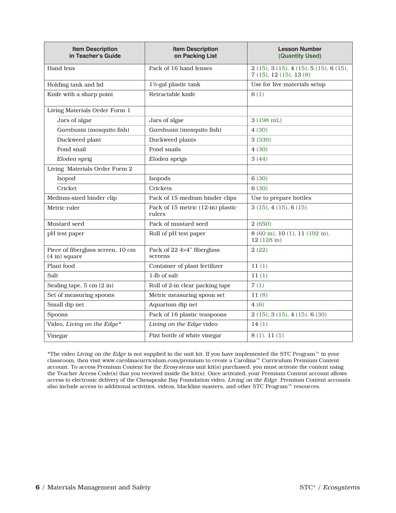| <b>Item Description</b><br>in Teacher's Guide                | <b>Item Description</b><br>on Packing List  | <b>Lesson Number</b><br>(Quantity Used)                    |  |  |  |  |  |
|--------------------------------------------------------------|---------------------------------------------|------------------------------------------------------------|--|--|--|--|--|
| Hand lens                                                    | Pack of 16 hand lenses                      | 2(15), 3(15), 4(15), 5(15), 6(15),<br>7(15), 12(15), 13(8) |  |  |  |  |  |
| Holding tank and lid                                         | 1½-gal plastic tank                         | Use for live materials setup                               |  |  |  |  |  |
| Knife with a sharp point                                     | Retractable knife                           | 6(1)                                                       |  |  |  |  |  |
| Living Materials Order Form 1                                |                                             |                                                            |  |  |  |  |  |
| Jars of algae                                                | Jars of algae                               | 3 (198 mL)                                                 |  |  |  |  |  |
| Gambusia (mosquito fish)                                     | Gambusia (mosquito fish)                    | 4(30)                                                      |  |  |  |  |  |
| Duckweed plant                                               | Duckweed plants                             | 3 (330)                                                    |  |  |  |  |  |
| Pond snail                                                   | Pond snails                                 | 4(30)                                                      |  |  |  |  |  |
| Elodea sprig                                                 | Elodea sprigs                               | 3(44)                                                      |  |  |  |  |  |
| Living Materials Order Form 2                                |                                             |                                                            |  |  |  |  |  |
| Isopod                                                       | Isopods                                     | 6(30)                                                      |  |  |  |  |  |
| Cricket                                                      | Crickets                                    | 6 (30)                                                     |  |  |  |  |  |
| Medium-sized binder clip                                     | Pack of 15 medium binder clips              | Use to prepare bottles                                     |  |  |  |  |  |
| Metric ruler                                                 | Pack of 15 metric (12-in) plastic<br>rulers | 3(15), 4(15), 6(15)                                        |  |  |  |  |  |
| Mustard seed                                                 | Pack of mustard seed                        | 2(650)                                                     |  |  |  |  |  |
| pH test paper                                                | Roll of pH test paper                       | 8 (60 in), 10 (1), 11 (192 in),<br>12 (128 in)             |  |  |  |  |  |
| Piece of fiberglass screen, 10 cm<br>$(4 \text{ in})$ square | Pack of 22 4×4" fiberglass<br>screens       | 2(22)                                                      |  |  |  |  |  |
| Plant food                                                   | Container of plant fertilizer               | 11(1)                                                      |  |  |  |  |  |
| Salt                                                         | 1-lb of salt                                | 11(1)                                                      |  |  |  |  |  |
| Sealing tape, 5 cm (2 in)                                    | Roll of 2-in clear packing tape             | 7(1)                                                       |  |  |  |  |  |
| Set of measuring spoons                                      | Metric measuring spoon set                  | 11(8)                                                      |  |  |  |  |  |
| Small dip net                                                | Aquarium dip net                            | 4(6)                                                       |  |  |  |  |  |
| Spoons                                                       | Pack of 16 plastic teaspoons                | 2(15), 3(15), 4(15), 6(30)                                 |  |  |  |  |  |
| Video, Living on the Edge*                                   | Living on the Edge video                    | 14(1)                                                      |  |  |  |  |  |
| Vinegar                                                      | Pint bottle of white vinegar                | 8(1), 11(1)                                                |  |  |  |  |  |

\*The video Living on the Edge is not supplied in the unit kit. If you have implemented the STC Program™ in your classroom, then visit www.carolinacurriculum.com/premium to create a Carolina™ Curriculum Premium Content account. To access Premium Content for the Ecosystems unit kit(s) purchased, you must activate the content using the Teacher Access Code(s) that you received inside the kit(s). Once activated, your Premium Content account allows access to electronic delivery of the Chesapeake Bay Foundation video, Living on the Edge. Premium Content accounts also include access to additional activities, videos, blackline masters, and other STC Program™ resources.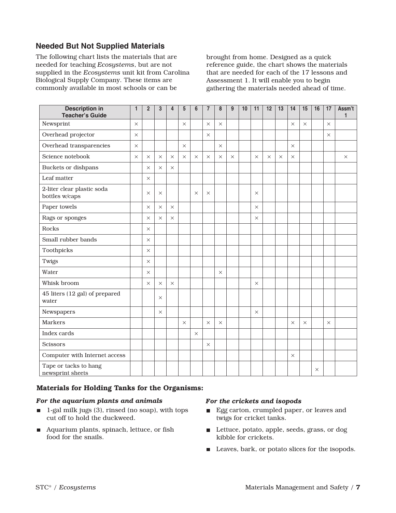### **Needed But Not Supplied Materials**

The following chart lists the materials that are needed for teaching *Ecosystems*, but are not supplied in the *Ecosystems* unit kit from Carolina Biological Supply Company. These items are commonly available in most schools or can be

brought from home. Designed as a quick reference guide, the chart shows the materials that are needed for each of the 17 lessons and Assessment 1. It will enable you to begin gathering the materials needed ahead of time.

| <b>Description in</b><br><b>Teacher's Guide</b> | 1        | $\overline{2}$ | 3        | 4        | 5        | 6        | $\overline{7}$ | 8        | 9        | 10 | 11       | 12       | 13       | 14       | 15       | 16       | 17       | Assm't<br>1 |
|-------------------------------------------------|----------|----------------|----------|----------|----------|----------|----------------|----------|----------|----|----------|----------|----------|----------|----------|----------|----------|-------------|
| Newsprint                                       | $\times$ |                |          |          | $\times$ |          | $\times$       | $\times$ |          |    |          |          |          | $\times$ | $\times$ |          | $\times$ |             |
| Overhead projector                              | $\times$ |                |          |          |          |          | $\times$       |          |          |    |          |          |          |          |          |          | $\times$ |             |
| Overhead transparencies                         | $\times$ |                |          |          | $\times$ |          |                | $\times$ |          |    |          |          |          | $\times$ |          |          |          |             |
| Science notebook                                | $\times$ | $\times$       | $\times$ | $\times$ | $\times$ | $\times$ | $\times$       | $\times$ | $\times$ |    | $\times$ | $\times$ | $\times$ | $\times$ |          |          |          | $\times$    |
| Buckets or dishpans                             |          | $\times$       | $\times$ | $\times$ |          |          |                |          |          |    |          |          |          |          |          |          |          |             |
| Leaf matter                                     |          | $\times$       |          |          |          |          |                |          |          |    |          |          |          |          |          |          |          |             |
| 2-liter clear plastic soda<br>bottles w/caps    |          | $\times$       | $\times$ |          |          | $\times$ | $\times$       |          |          |    | $\times$ |          |          |          |          |          |          |             |
| Paper towels                                    |          | $\times$       | $\times$ | $\times$ |          |          |                |          |          |    | X        |          |          |          |          |          |          |             |
| Rags or sponges                                 |          | $\times$       | $\times$ | $\times$ |          |          |                |          |          |    | $\times$ |          |          |          |          |          |          |             |
| Rocks                                           |          | $\times$       |          |          |          |          |                |          |          |    |          |          |          |          |          |          |          |             |
| Small rubber bands                              |          | $\times$       |          |          |          |          |                |          |          |    |          |          |          |          |          |          |          |             |
| Toothpicks                                      |          | $\times$       |          |          |          |          |                |          |          |    |          |          |          |          |          |          |          |             |
| Twigs                                           |          | $\times$       |          |          |          |          |                |          |          |    |          |          |          |          |          |          |          |             |
| Water                                           |          | $\times$       |          |          |          |          |                | $\times$ |          |    |          |          |          |          |          |          |          |             |
| Whisk broom                                     |          | $\times$       | $\times$ | $\times$ |          |          |                |          |          |    | $\times$ |          |          |          |          |          |          |             |
| 45 liters (12 gal) of prepared<br>water         |          |                | $\times$ |          |          |          |                |          |          |    |          |          |          |          |          |          |          |             |
| Newspapers                                      |          |                | $\times$ |          |          |          |                |          |          |    | $\times$ |          |          |          |          |          |          |             |
| <b>Markers</b>                                  |          |                |          |          | $\times$ |          | $\times$       | $\times$ |          |    |          |          |          | $\times$ | $\times$ |          | $\times$ |             |
| Index cards                                     |          |                |          |          |          | $\times$ |                |          |          |    |          |          |          |          |          |          |          |             |
| <b>Scissors</b>                                 |          |                |          |          |          |          | $\times$       |          |          |    |          |          |          |          |          |          |          |             |
| Computer with Internet access                   |          |                |          |          |          |          |                |          |          |    |          |          |          | $\times$ |          |          |          |             |
| Tape or tacks to hang<br>newsprint sheets       |          |                |          |          |          |          |                |          |          |    |          |          |          |          |          | $\times$ |          |             |

#### **Materials for Holding Tanks for the Organisms:**

#### *For the aquarium plants and animals*

- $\blacksquare$  1-gal milk jugs (3), rinsed (no soap), with tops cut off to hold the duckweed.
- Aquarium plants, spinach, lettuce, or fish food for the snails.

#### *For the crickets and isopods*

- Egg carton, crumpled paper, or leaves and twigs for cricket tanks.
- Lettuce, potato, apple, seeds, grass, or dog kibble for crickets.
- Leaves, bark, or potato slices for the isopods.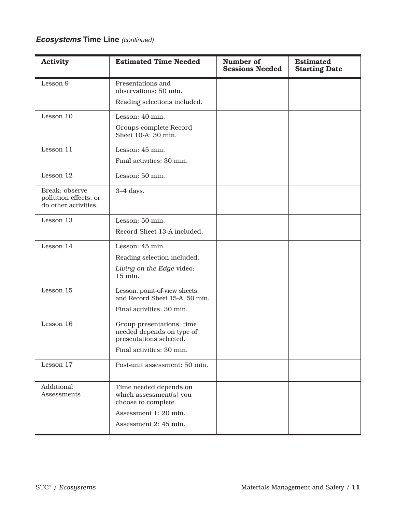## **Ecosystems Time Line** (continued)

| <b>Activity</b>                                                 | <b>Estimated Time Needed</b>                                                      | Number of<br><b>Sessions Needed</b> | <b>Estimated</b><br><b>Starting Date</b> |
|-----------------------------------------------------------------|-----------------------------------------------------------------------------------|-------------------------------------|------------------------------------------|
| Lesson 9                                                        | Presentations and<br>observations: 50 min.                                        |                                     |                                          |
|                                                                 | Reading selections included.                                                      |                                     |                                          |
| Lesson 10                                                       | Lesson: 40 min.                                                                   |                                     |                                          |
|                                                                 | Groups complete Record<br>Sheet 10-A: 30 min.                                     |                                     |                                          |
| Lesson 11                                                       | Lesson: 45 min.                                                                   |                                     |                                          |
|                                                                 | Final activities: 30 min.                                                         |                                     |                                          |
| Lesson 12                                                       | Lesson: 50 min.                                                                   |                                     |                                          |
| Break: observe<br>pollution effects, or<br>do other activities. | $3-4$ days.                                                                       |                                     |                                          |
| Lesson 13                                                       | Lesson: 50 min.                                                                   |                                     |                                          |
|                                                                 | Record Sheet 13-A included.                                                       |                                     |                                          |
| Lesson 14                                                       | Lesson: 45 min.                                                                   |                                     |                                          |
|                                                                 | Reading selection included.                                                       |                                     |                                          |
|                                                                 | Living on the Edge video:<br>15 min.                                              |                                     |                                          |
| Lesson 15                                                       | Lesson, point-of-view sheets,<br>and Record Sheet 15-A: 50 min.                   |                                     |                                          |
|                                                                 | Final activities: 30 min.                                                         |                                     |                                          |
| Lesson 16                                                       | Group presentations: time<br>needed depends on type of<br>presentations selected. |                                     |                                          |
|                                                                 | Final activities: 30 min.                                                         |                                     |                                          |
| Lesson 17                                                       | Post-unit assessment: 50 min.                                                     |                                     |                                          |
| Additional<br>Assessments                                       | Time needed depends on<br>which assessment(s) you<br>choose to complete.          |                                     |                                          |
|                                                                 | Assessment 1: 20 min.                                                             |                                     |                                          |
|                                                                 | Assessment 2: 45 min.                                                             |                                     |                                          |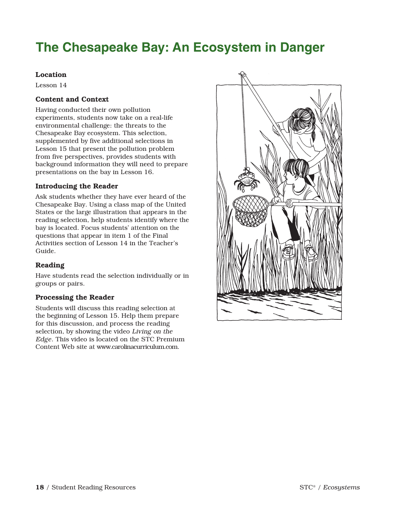## **The Chesapeake Bay: An Ecosystem in Danger**

#### **Location**

Lesson 14

#### **Content and Context**

Having conducted their own pollution experiments, students now take on a real-life environmental challenge: the threats to the Chesapeake Bay ecosystem. This selection, supplemented by five additional selections in Lesson 15 that present the pollution problem from five perspectives, provides students with background information they will need to prepare presentations on the bay in Lesson 16.

#### **Introducing the Reader**

Ask students whether they have ever heard of the Chesapeake Bay. Using a class map of the United States or the large illustration that appears in the reading selection, help students identify where the bay is located. Focus students' attention on the questions that appear in item 1 of the Final Activities section of Lesson 14 in the Teacher's Guide.

#### **Reading**

Have students read the selection individually or in groups or pairs.

#### **Processing the Reader**

Students will discuss this reading selection at the beginning of Lesson 15. Help them prepare for this discussion, and process the reading selection, by showing the video Living on the Edge. This video is located on the STC Premium Content Web site at www.carolinacurriculum.com.

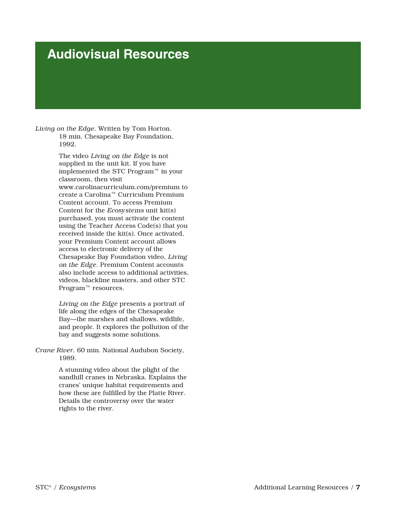## **Audiovisual Resources**

*Living on the Edge.* Written by Tom Horton. 18 min. Chesapeake Bay Foundation, 1992.

> The video Living on the Edge is not supplied in the unit kit. If you have implemented the STC Program™ in your classroom, then visit www.carolinacurriculum.com/premium to create a Carolina™ Curriculum Premium Content account. To access Premium Content for the Ecosystems unit kit(s) purchased, you must activate the content using the Teacher Access Code(s) that you received inside the kit(s). Once activated, your Premium Content account allows access to electronic delivery of the Chesapeake Bay Foundation video, Living on the Edge. Premium Content accounts also include access to additional activities videos, blackline masters, and other STC Program<sup>™</sup> resources.

> Living on the Edge presents a portrait of life along the edges of the Chesapeake Bay—the marshes and shallows, wildlife, and people. It explores the pollution of the bay and suggests some solutions.

*Crane River.* 60 min. National Audubon Society, 1989.

> A stunning video about the plight of the sandhill cranes in Nebraska. Explains the cranes' unique habitat requirements and how these are fulfilled by the Platte River. Details the controversy over the water rights to the river.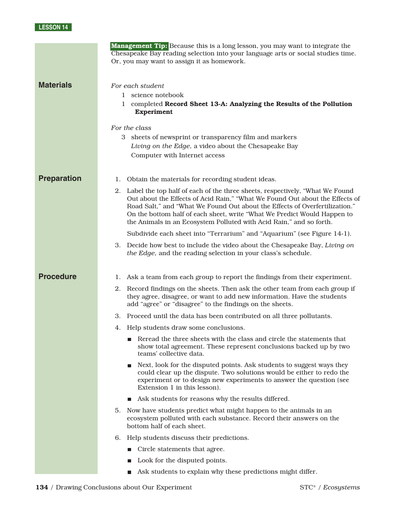### **LESSON 14**

|                    | <b>Management Tip:</b> Because this is a long lesson, you may want to integrate the<br>Chesapeake Bay reading selection into your language arts or social studies time.<br>Or, you may want to assign it as homework.                                                                                                                                                                             |
|--------------------|---------------------------------------------------------------------------------------------------------------------------------------------------------------------------------------------------------------------------------------------------------------------------------------------------------------------------------------------------------------------------------------------------|
| <b>Materials</b>   | For each student<br>1 science notebook<br>completed Record Sheet 13-A: Analyzing the Results of the Pollution<br>1.<br><b>Experiment</b><br>For the class<br>3 sheets of newsprint or transparency film and markers                                                                                                                                                                               |
|                    | Living on the Edge, a video about the Chesapeake Bay<br>Computer with Internet access                                                                                                                                                                                                                                                                                                             |
| <b>Preparation</b> | Obtain the materials for recording student ideas.<br>ı.                                                                                                                                                                                                                                                                                                                                           |
|                    | 2. Label the top half of each of the three sheets, respectively, "What We Found<br>Out about the Effects of Acid Rain," "What We Found Out about the Effects of<br>Road Salt," and "What We Found Out about the Effects of Overfertilization."<br>On the bottom half of each sheet, write "What We Predict Would Happen to<br>the Animals in an Ecosystem Polluted with Acid Rain," and so forth. |
|                    | Subdivide each sheet into "Terrarium" and "Aquarium" (see Figure 14-1).                                                                                                                                                                                                                                                                                                                           |
|                    | 3. Decide how best to include the video about the Chesapeake Bay, Living on<br>the Edge, and the reading selection in your class's schedule.                                                                                                                                                                                                                                                      |
| <b>Procedure</b>   | 1. Ask a team from each group to report the findings from their experiment.                                                                                                                                                                                                                                                                                                                       |
|                    | Record findings on the sheets. Then ask the other team from each group if<br>2.<br>they agree, disagree, or want to add new information. Have the students<br>add "agree" or "disagree" to the findings on the sheets.                                                                                                                                                                            |
|                    | 3. Proceed until the data has been contributed on all three pollutants.                                                                                                                                                                                                                                                                                                                           |
|                    | 4. Help students draw some conclusions.                                                                                                                                                                                                                                                                                                                                                           |
|                    | Reread the three sheets with the class and circle the statements that<br>show total agreement. These represent conclusions backed up by two<br>teams' collective data.                                                                                                                                                                                                                            |
|                    | Next, look for the disputed points. Ask students to suggest ways they<br>could clear up the dispute. Two solutions would be either to redo the<br>experiment or to design new experiments to answer the question (see<br>Extension 1 in this lesson).                                                                                                                                             |
|                    | Ask students for reasons why the results differed.                                                                                                                                                                                                                                                                                                                                                |
|                    | Now have students predict what might happen to the animals in an<br>5.<br>ecosystem polluted with each substance. Record their answers on the<br>bottom half of each sheet.                                                                                                                                                                                                                       |
|                    | Help students discuss their predictions.<br>6.                                                                                                                                                                                                                                                                                                                                                    |
|                    | $\blacksquare$ Circle statements that agree.                                                                                                                                                                                                                                                                                                                                                      |
|                    | Look for the disputed points.                                                                                                                                                                                                                                                                                                                                                                     |
|                    | Ask students to explain why these predictions might differ.                                                                                                                                                                                                                                                                                                                                       |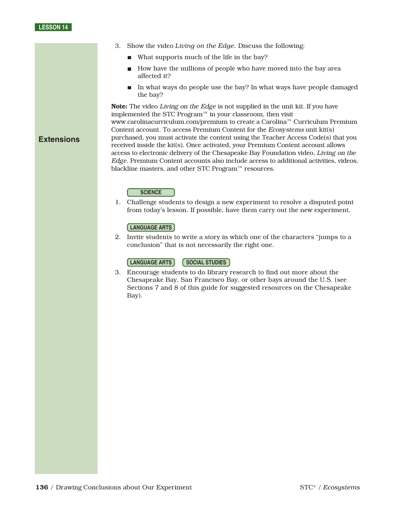#### **LESSON 14**

**Extensions**

- 3. Show the video *Living on the Edge.* Discuss the following:
	- What supports much of the life in the bay?
	- How have the millions of people who have moved into the bay area affected it?
	- In what ways do people use the bay? In what ways have people damaged the bay?

**Note:** The video Living on the Edge is not supplied in the unit kit. If you have implemented the STC Program™ in your classroom, then visit www.carolinacurriculum.com/premium to create a Carolina™ Curriculum Premium Content account. To access Premium Content for the Ecosystems unit kit(s) purchased, you must activate the content using the Teacher Access Code(s) that you received inside the kit(s). Once activated, your Premium Content account allows access to electronic delivery of the Chesapeake Bay Foundation video, Living on the Edge. Premium Content accounts also include access to additional activities, videos, blackline masters, and other STC Program™ resources.

#### **SCIENCE**

1. Challenge students to design a new experiment to resolve a disputed point from today's lesson. If possible, have them carry out the new experiment.

#### **LANGUAGE ARTS**

2. Invite students to write a story in which one of the characters "jumps to a conclusion" that is not necessarily the right one.

#### **SOCIAL STUDIES LANGUAGE ARTS**

3. Encourage students to do library research to find out more about the Chesapeake Bay, San Francisco Bay, or other bays around the U.S. (see Sections 7 and 8 of this guide for suggested resources on the Chesapeake Bay).